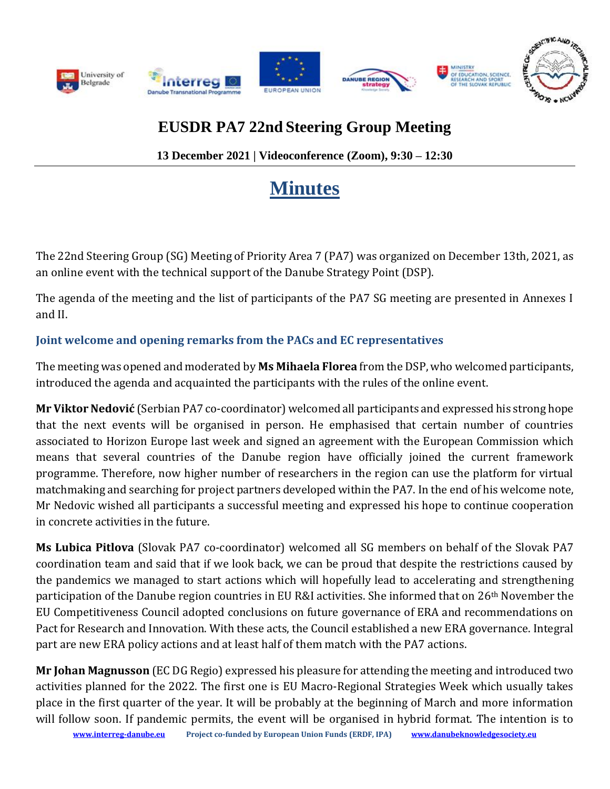

# **EUSDR PA7 22nd Steering Group Meeting**

**13 December 2021 | Videoconference (Zoom), 9:30 – 12:30**

# **Minutes**

The 22nd Steering Group (SG) Meeting of Priority Area 7 (PA7) was organized on December 13th, 2021, as an online event with the technical support of the Danube Strategy Point (DSP).

The agenda of the meeting and the list of participants of the PA7 SG meeting are presented in Annexes I and II.

# **Joint welcome and opening remarks from the PACs and EC representatives**

The meeting was opened and moderated by **Ms Mihaela Florea** from the DSP, who welcomed participants, introduced the agenda and acquainted the participants with the rules of the online event.

**Mr Viktor Nedović** (Serbian PA7 co-coordinator) welcomed all participants and expressed his strong hope that the next events will be organised in person. He emphasised that certain number of countries associated to Horizon Europe last week and signed an agreement with the European Commission which means that several countries of the Danube region have officially joined the current framework programme. Therefore, now higher number of researchers in the region can use the platform for virtual matchmaking and searching for project partners developed within the PA7. In the end of his welcome note, Mr Nedovic wished all participants a successful meeting and expressed his hope to continue cooperation in concrete activities in the future.

**Ms Lubica Pitlova** (Slovak PA7 co-coordinator) welcomed all SG members on behalf of the Slovak PA7 coordination team and said that if we look back, we can be proud that despite the restrictions caused by the pandemics we managed to start actions which will hopefully lead to accelerating and strengthening participation of the Danube region countries in EU R&I activities. She informed that on 26<sup>th</sup> November the EU Competitiveness Council adopted conclusions on future governance of ERA and recommendations on Pact for Research and Innovation. With these acts, the Council established a new ERA governance. Integral part are new ERA policy actions and at least half of them match with the PA7 actions.

**Mr Johan Magnusson** (EC DG Regio) expressed his pleasure for attending the meeting and introduced two activities planned for the 2022. The first one is EU Macro-Regional Strategies Week which usually takes place in the first quarter of the year. It will be probably at the beginning of March and more information will follow soon. If pandemic permits, the event will be organised in hybrid format. The intention is to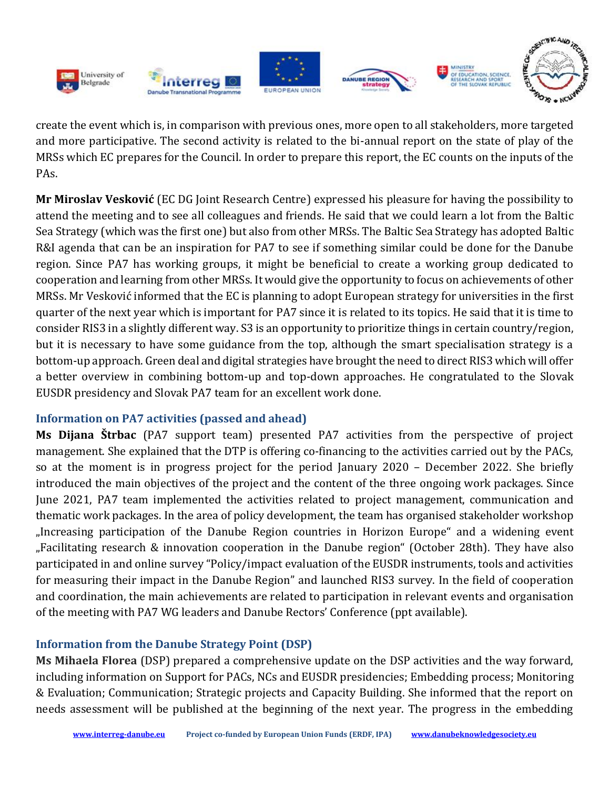

create the event which is, in comparison with previous ones, more open to all stakeholders, more targeted and more participative. The second activity is related to the bi-annual report on the state of play of the MRSs which EC prepares for the Council. In order to prepare this report, the EC counts on the inputs of the PAs.

**Mr Miroslav Vesković** (EC DG Joint Research Centre) expressed his pleasure for having the possibility to attend the meeting and to see all colleagues and friends. He said that we could learn a lot from the Baltic Sea Strategy (which was the first one) but also from other MRSs. The Baltic Sea Strategy has adopted Baltic R&I agenda that can be an inspiration for PA7 to see if something similar could be done for the Danube region. Since PA7 has working groups, it might be beneficial to create a working group dedicated to cooperation and learning from other MRSs. It would give the opportunity to focus on achievements of other MRSs. Mr Vesković informed that the EC is planning to adopt European strategy for universities in the first quarter of the next year which is important for PA7 since it is related to its topics. He said that it is time to consider RIS3 in a slightly different way. S3 is an opportunity to prioritize things in certain country/region, but it is necessary to have some guidance from the top, although the smart specialisation strategy is a bottom-up approach. Green deal and digital strategies have brought the need to direct RIS3 which will offer a better overview in combining bottom-up and top-down approaches. He congratulated to the Slovak EUSDR presidency and Slovak PA7 team for an excellent work done.

# **Information on PA7 activities (passed and ahead)**

**Ms Dijana Štrbac** (PA7 support team) presented PA7 activities from the perspective of project management. She explained that the DTP is offering co-financing to the activities carried out by the PACs, so at the moment is in progress project for the period January 2020 – December 2022. She briefly introduced the main objectives of the project and the content of the three ongoing work packages. Since June 2021, PA7 team implemented the activities related to project management, communication and thematic work packages. In the area of policy development, the team has organised stakeholder workshop "Increasing participation of the Danube Region countries in Horizon Europe" and a widening event "Facilitating research & innovation cooperation in the Danube region" (October 28th). They have also participated in and online survey "Policy/impact evaluation of the EUSDR instruments, tools and activities for measuring their impact in the Danube Region" and launched RIS3 survey. In the field of cooperation and coordination, the main achievements are related to participation in relevant events and organisation of the meeting with PA7 WG leaders and Danube Rectors' Conference (ppt available).

# **Information from the Danube Strategy Point (DSP)**

**Ms Mihaela Florea** (DSP) prepared a comprehensive update on the DSP activities and the way forward, including information on Support for PACs, NCs and EUSDR presidencies; Embedding process; Monitoring & Evaluation; Communication; Strategic projects and Capacity Building. She informed that the report on needs assessment will be published at the beginning of the next year. The progress in the embedding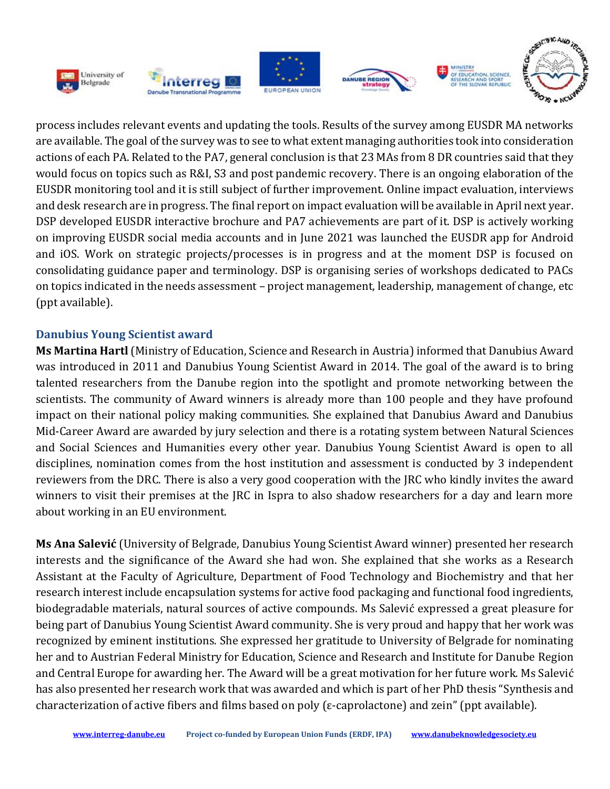

process includes relevant events and updating the tools. Results of the survey among EUSDR MA networks are available. The goal of the survey was to see to what extent managing authorities took into consideration actions of each PA. Related to the PA7, general conclusion is that 23 MAs from 8 DR countries said that they would focus on topics such as R&I, S3 and post pandemic recovery. There is an ongoing elaboration of the EUSDR monitoring tool and it is still subject of further improvement. Online impact evaluation, interviews and desk research are in progress. The final report on impact evaluation will be available in April next year. DSP developed EUSDR interactive brochure and PA7 achievements are part of it. DSP is actively working on improving EUSDR social media accounts and in June 2021 was launched the EUSDR app for Android and iOS. Work on strategic projects/processes is in progress and at the moment DSP is focused on consolidating guidance paper and terminology. DSP is organising series of workshops dedicated to PACs on topics indicated in the needs assessment – project management, leadership, management of change, etc (ppt available).

#### **Danubius Young Scientist award**

**Ms Martina Hartl**(Ministry of Education, Science and Research in Austria) informed that Danubius Award was introduced in 2011 and Danubius Young Scientist Award in 2014. The goal of the award is to bring talented researchers from the Danube region into the spotlight and promote networking between the scientists. The community of Award winners is already more than 100 people and they have profound impact on their national policy making communities. She explained that Danubius Award and Danubius Mid-Career Award are awarded by jury selection and there is a rotating system between Natural Sciences and Social Sciences and Humanities every other year. Danubius Young Scientist Award is open to all disciplines, nomination comes from the host institution and assessment is conducted by 3 independent reviewers from the DRC. There is also a very good cooperation with the JRC who kindly invites the award winners to visit their premises at the JRC in Ispra to also shadow researchers for a day and learn more about working in an EU environment.

**Ms Ana Salević** (University of Belgrade, Danubius Young Scientist Award winner) presented her research interests and the significance of the Award she had won. She explained that she works as a Research Assistant at the Faculty of Agriculture, Department of Food Technology and Biochemistry and that her research interest include encapsulation systems for active food packaging and functional food ingredients, biodegradable materials, natural sources of active compounds. Ms Salević expressed a great pleasure for being part of Danubius Young Scientist Award community. She is very proud and happy that her work was recognized by eminent institutions. She expressed her gratitude to University of Belgrade for nominating her and to Austrian Federal Ministry for Education, Science and Research and Institute for Danube Region and Central Europe for awarding her. The Award will be a great motivation for her future work. Ms Salević has also presented her research work that was awarded and which is part of her PhD thesis "Synthesis and characterization of active fibers and films based on poly (ε-caprolactone) and zein" (ppt available).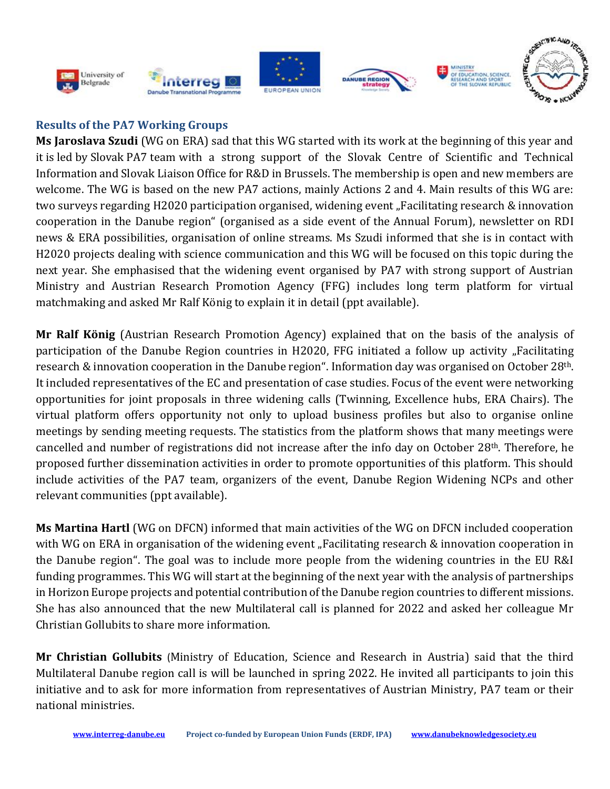











# **Results of the PA7 Working Groups**

**Ms Jaroslava Szudi** (WG on ERA) sad that this WG started with its work at the beginning of this year and it is led by Slovak PA7 team with a strong support of the Slovak Centre of Scientific and Technical Information and Slovak Liaison Office for R&D in Brussels. The membership is open and new members are welcome. The WG is based on the new PA7 actions, mainly Actions 2 and 4. Main results of this WG are: two surveys regarding H2020 participation organised, widening event "Facilitating research & innovation cooperation in the Danube region" (organised as a side event of the Annual Forum), newsletter on RDI news & ERA possibilities, organisation of online streams. Ms Szudi informed that she is in contact with H2020 projects dealing with science communication and this WG will be focused on this topic during the next year. She emphasised that the widening event organised by PA7 with strong support of Austrian Ministry and Austrian Research Promotion Agency (FFG) includes long term platform for virtual matchmaking and asked Mr Ralf König to explain it in detail (ppt available).

**Mr Ralf König** (Austrian Research Promotion Agency) explained that on the basis of the analysis of participation of the Danube Region countries in H2020, FFG initiated a follow up activity "Facilitating research & innovation cooperation in the Danube region". Information day was organised on October 28th. It included representatives of the EC and presentation of case studies. Focus of the event were networking opportunities for joint proposals in three widening calls (Twinning, Excellence hubs, ERA Chairs). The virtual platform offers opportunity not only to upload business profiles but also to organise online meetings by sending meeting requests. The statistics from the platform shows that many meetings were cancelled and number of registrations did not increase after the info day on October 28th. Therefore, he proposed further dissemination activities in order to promote opportunities of this platform. This should include activities of the PA7 team, organizers of the event, Danube Region Widening NCPs and other relevant communities (ppt available).

**Ms Martina Hartl** (WG on DFCN) informed that main activities of the WG on DFCN included cooperation with WG on ERA in organisation of the widening event "Facilitating research & innovation cooperation in the Danube region". The goal was to include more people from the widening countries in the EU R&I funding programmes. This WG will start at the beginning of the next year with the analysis of partnerships in Horizon Europe projects and potential contribution of the Danube region countries to different missions. She has also announced that the new Multilateral call is planned for 2022 and asked her colleague Mr Christian Gollubits to share more information.

**Mr Christian Gollubits** (Ministry of Education, Science and Research in Austria) said that the third Multilateral Danube region call is will be launched in spring 2022. He invited all participants to join this initiative and to ask for more information from representatives of Austrian Ministry, PA7 team or their national ministries.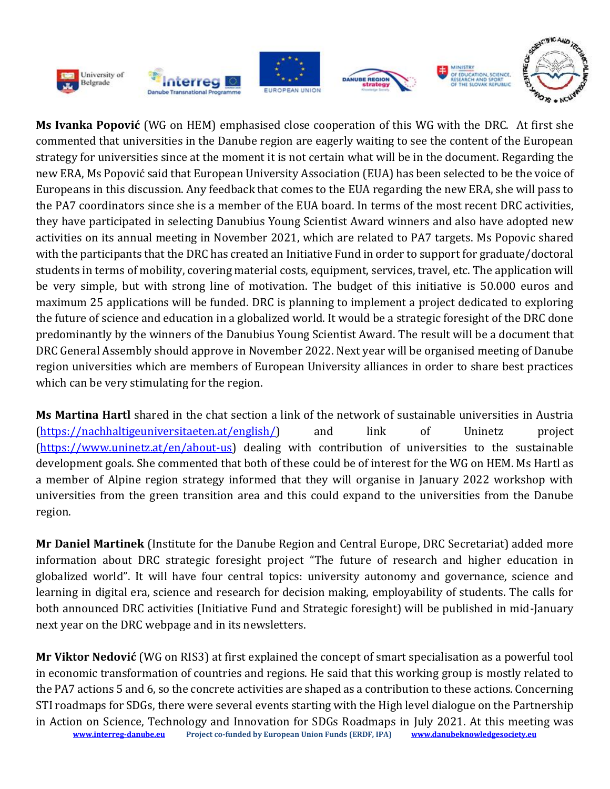

**Ms Ivanka Popović** (WG on HEM) emphasised close cooperation of this WG with the DRC. At first she commented that universities in the Danube region are eagerly waiting to see the content of the European strategy for universities since at the moment it is not certain what will be in the document. Regarding the new ERA, Ms Popović said that European University Association (EUA) has been selected to be the voice of Europeans in this discussion. Any feedback that comes to the EUA regarding the new ERA, she will pass to the PA7 coordinators since she is a member of the EUA board. In terms of the most recent DRC activities, they have participated in selecting Danubius Young Scientist Award winners and also have adopted new activities on its annual meeting in November 2021, which are related to PA7 targets. Ms Popovic shared with the participants that the DRC has created an Initiative Fund in order to support for graduate/doctoral students in terms of mobility, covering material costs, equipment, services, travel, etc. The application will be very simple, but with strong line of motivation. The budget of this initiative is 50.000 euros and maximum 25 applications will be funded. DRC is planning to implement a project dedicated to exploring the future of science and education in a globalized world. It would be a strategic foresight of the DRC done predominantly by the winners of the Danubius Young Scientist Award. The result will be a document that DRC General Assembly should approve in November 2022. Next year will be organised meeting of Danube region universities which are members of European University alliances in order to share best practices which can be very stimulating for the region.

**Ms Martina Hartl** shared in the chat section a link of the network of sustainable universities in Austria [\(https://nachhaltigeuniversitaeten.at/english/\)](https://nachhaltigeuniversitaeten.at/english/) and link of Uninetz project [\(https://www.uninetz.at/en/about-us\)](https://www.uninetz.at/en/about-us) dealing with contribution of universities to the sustainable development goals. She commented that both of these could be of interest for the WG on HEM. Ms Hartl as a member of Alpine region strategy informed that they will organise in January 2022 workshop with universities from the green transition area and this could expand to the universities from the Danube region.

**Mr Daniel Martinek** (Institute for the Danube Region and Central Europe, DRC Secretariat) added more information about DRC strategic foresight project "The future of research and higher education in globalized world". It will have four central topics: university autonomy and governance, science and learning in digital era, science and research for decision making, employability of students. The calls for both announced DRC activities (Initiative Fund and Strategic foresight) will be published in mid-January next year on the DRC webpage and in its newsletters.

**[www.interreg-danube.eu](http://www.interreg-danube.eu/) Project co-funded by European Union Funds (ERDF, IPA) [www.danubeknowledgesociety.eu](http://www.danubeknowledgesociety.eu/) Mr Viktor Nedović** (WG on RIS3) at first explained the concept of smart specialisation as a powerful tool in economic transformation of countries and regions. He said that this working group is mostly related to the PA7 actions 5 and 6, so the concrete activities are shaped as a contribution to these actions. Concerning STI roadmaps for SDGs, there were several events starting with the High level dialogue on the Partnership in Action on Science, Technology and Innovation for SDGs Roadmaps in July 2021. At this meeting was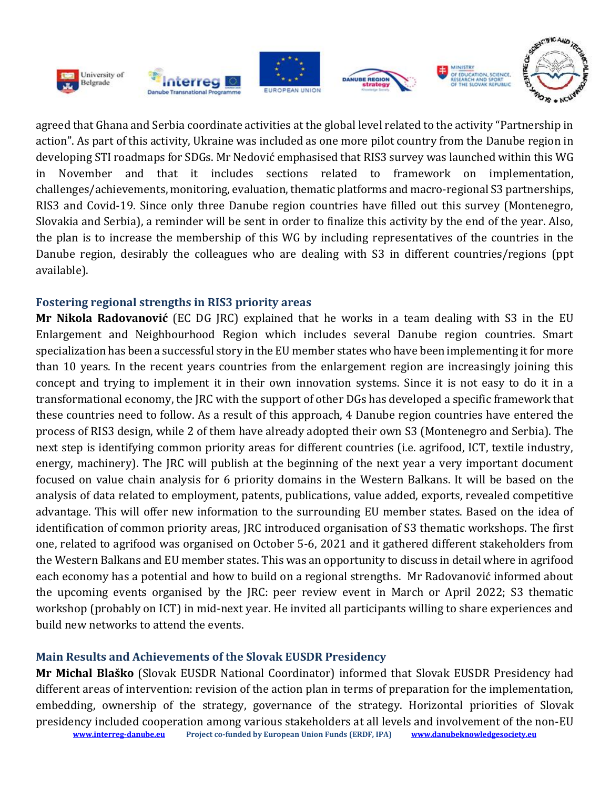

agreed that Ghana and Serbia coordinate activities at the global level related to the activity "Partnership in action". As part of this activity, Ukraine was included as one more pilot country from the Danube region in developing STI roadmaps for SDGs. Mr Nedović emphasised that RIS3 survey was launched within this WG in November and that it includes sections related to framework on implementation, challenges/achievements, monitoring, evaluation, thematic platforms and macro-regional S3 partnerships, RIS3 and Covid-19. Since only three Danube region countries have filled out this survey (Montenegro, Slovakia and Serbia), a reminder will be sent in order to finalize this activity by the end of the year. Also, the plan is to increase the membership of this WG by including representatives of the countries in the Danube region, desirably the colleagues who are dealing with S3 in different countries/regions (ppt available).

#### **Fostering regional strengths in RIS3 priority areas**

**Mr Nikola Radovanović** (EC DG JRC) explained that he works in a team dealing with S3 in the EU Enlargement and Neighbourhood Region which includes several Danube region countries. Smart specialization has been a successful story in the EU member states who have been implementing it for more than 10 years. In the recent years countries from the enlargement region are increasingly joining this concept and trying to implement it in their own innovation systems. Since it is not easy to do it in a transformational economy, the JRC with the support of other DGs has developed a specific framework that these countries need to follow. As a result of this approach, 4 Danube region countries have entered the process of RIS3 design, while 2 of them have already adopted their own S3 (Montenegro and Serbia). The next step is identifying common priority areas for different countries (i.e. agrifood, ICT, textile industry, energy, machinery). The JRC will publish at the beginning of the next year a very important document focused on value chain analysis for 6 priority domains in the Western Balkans. It will be based on the analysis of data related to employment, patents, publications, value added, exports, revealed competitive advantage. This will offer new information to the surrounding EU member states. Based on the idea of identification of common priority areas, JRC introduced organisation of S3 thematic workshops. The first one, related to agrifood was organised on October 5-6, 2021 and it gathered different stakeholders from the Western Balkans and EU member states. This was an opportunity to discuss in detail where in agrifood each economy has a potential and how to build on a regional strengths. Mr Radovanović informed about the upcoming events organised by the JRC: peer review event in March or April 2022; S3 thematic workshop (probably on ICT) in mid-next year. He invited all participants willing to share experiences and build new networks to attend the events.

# **Main Results and Achievements of the Slovak EUSDR Presidency**

**[www.interreg-danube.eu](http://www.interreg-danube.eu/) Project co-funded by European Union Funds (ERDF, IPA) [www.danubeknowledgesociety.eu](http://www.danubeknowledgesociety.eu/) Mr Michal Blaško** (Slovak EUSDR National Coordinator) informed that Slovak EUSDR Presidency had different areas of intervention: revision of the action plan in terms of preparation for the implementation, embedding, ownership of the strategy, governance of the strategy. Horizontal priorities of Slovak presidency included cooperation among various stakeholders at all levels and involvement of the non-EU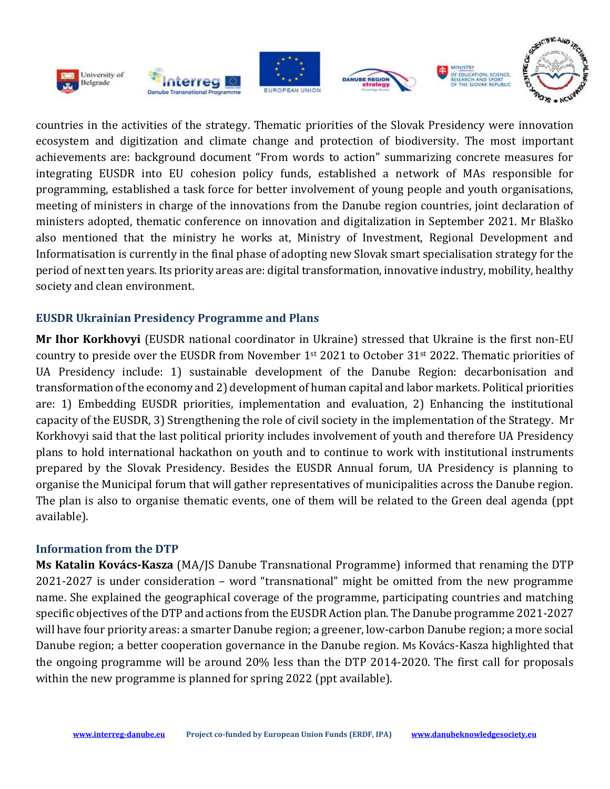

countries in the activities of the strategy. Thematic priorities of the Slovak Presidency were innovation ecosystem and digitization and climate change and protection of biodiversity. The most important achievements are: background document "From words to action" summarizing concrete measures for integrating EUSDR into EU cohesion policy funds, established a network of MAs responsible for programming, established a task force for better involvement of young people and youth organisations, meeting of ministers in charge of the innovations from the Danube region countries, joint declaration of ministers adopted, thematic conference on innovation and digitalization in September 2021. Mr Blaško also mentioned that the ministry he works at, Ministry of Investment, Regional Development and Informatisation is currently in the final phase of adopting new Slovak smart specialisation strategy for the period of next ten years. Its priority areas are: digital transformation, innovative industry, mobility, healthy society and clean environment.

#### **EUSDR Ukrainian Presidency Programme and Plans**

**Mr Ihor Korkhovyi** (EUSDR national coordinator in Ukraine) stressed that Ukraine is the first non-EU country to preside over the EUSDR from November 1st 2021 to October 31st 2022. Thematic priorities of UA Presidency include: 1) sustainable development of the Danube Region: decarbonisation and transformation of the economy and 2) development of human capital and labor markets. Political priorities are: 1) Embedding EUSDR priorities, implementation and evaluation, 2) Enhancing the institutional capacity of the EUSDR, 3) Strengthening the role of civil society in the implementation of the Strategy. Mr Korkhovyi said that the last political priority includes involvement of youth and therefore UA Presidency plans to hold international hackathon on youth and to continue to work with institutional instruments prepared by the Slovak Presidency. Besides the EUSDR Annual forum, UA Presidency is planning to organise the Municipal forum that will gather representatives of municipalities across the Danube region. The plan is also to organise thematic events, one of them will be related to the Green deal agenda (ppt available).

#### **Information from the DTP**

**Ms Katalin Kovács-Kasza** (MA/JS Danube Transnational Programme) informed that renaming the DTP 2021-2027 is under consideration – word "transnational" might be omitted from the new programme name. She explained the geographical coverage of the programme, participating countries and matching specific objectives of the DTP and actions from the EUSDR Action plan. The Danube programme 2021-2027 will have four priority areas: a smarter Danube region; a greener, low-carbon Danube region; a more social Danube region; a better cooperation governance in the Danube region. Ms Kovács-Kasza highlighted that the ongoing programme will be around 20% less than the DTP 2014-2020. The first call for proposals within the new programme is planned for spring 2022 (ppt available).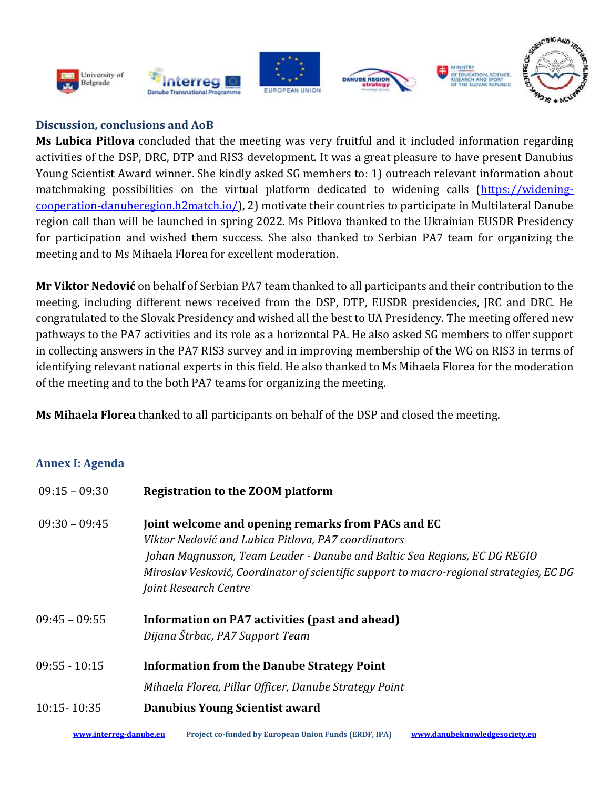

## **Discussion, conclusions and AoB**

**Ms Lubica Pitlova** concluded that the meeting was very fruitful and it included information regarding activities of the DSP, DRC, DTP and RIS3 development. It was a great pleasure to have present Danubius Young Scientist Award winner. She kindly asked SG members to: 1) outreach relevant information about matchmaking possibilities on the virtual platform dedicated to widening calls [\(https://widening](https://widening-cooperation-danuberegion.b2match.io/)[cooperation-danuberegion.b2match.io/\)](https://widening-cooperation-danuberegion.b2match.io/), 2) motivate their countries to participate in Multilateral Danube region call than will be launched in spring 2022. Ms Pitlova thanked to the Ukrainian EUSDR Presidency for participation and wished them success. She also thanked to Serbian PA7 team for organizing the meeting and to Ms Mihaela Florea for excellent moderation.

**Mr Viktor Nedović** on behalf of Serbian PA7 team thanked to all participants and their contribution to the meeting, including different news received from the DSP, DTP, EUSDR presidencies, JRC and DRC. He congratulated to the Slovak Presidency and wished all the best to UA Presidency. The meeting offered new pathways to the PA7 activities and its role as a horizontal PA. He also asked SG members to offer support in collecting answers in the PA7 RIS3 survey and in improving membership of the WG on RIS3 in terms of identifying relevant national experts in this field. He also thanked to Ms Mihaela Florea for the moderation of the meeting and to the both PA7 teams for organizing the meeting.

**Ms Mihaela Florea** thanked to all participants on behalf of the DSP and closed the meeting.

# **Annex I: Agenda**

| $09:15 - 09:30$ | Registration to the ZOOM platform                                                                                                                                                                                                                                                                          |  |
|-----------------|------------------------------------------------------------------------------------------------------------------------------------------------------------------------------------------------------------------------------------------------------------------------------------------------------------|--|
| $09:30 - 09:45$ | Joint welcome and opening remarks from PACs and EC<br>Viktor Nedović and Lubica Pitlova, PA7 coordinators<br>Johan Magnusson, Team Leader - Danube and Baltic Sea Regions, EC DG REGIO<br>Miroslav Vesković, Coordinator of scientific support to macro-regional strategies, ECDG<br>Joint Research Centre |  |
| $09:45 - 09:55$ | Information on PA7 activities (past and ahead)<br>Dijana Štrbac, PA7 Support Team                                                                                                                                                                                                                          |  |
| $09:55 - 10:15$ | <b>Information from the Danube Strategy Point</b><br>Mihaela Florea, Pillar Officer, Danube Strategy Point                                                                                                                                                                                                 |  |
| $10:15 - 10:35$ | Danubius Young Scientist award                                                                                                                                                                                                                                                                             |  |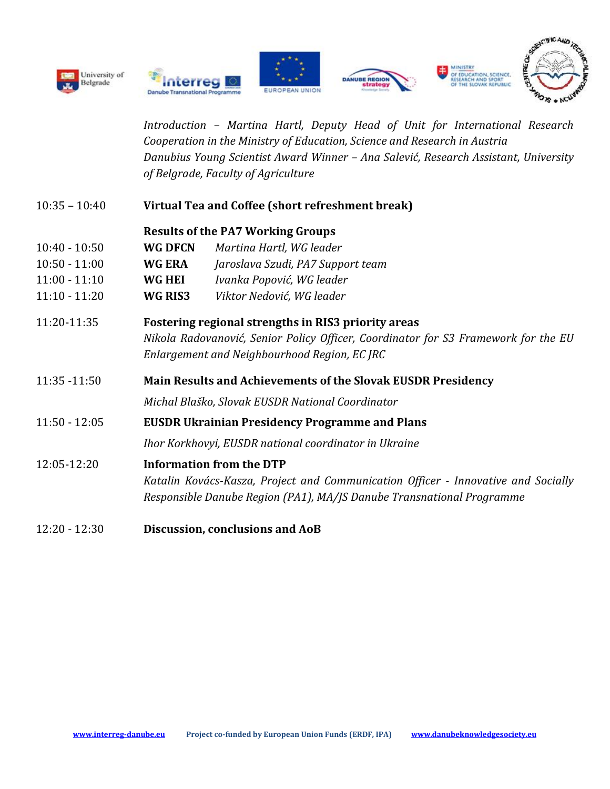









*Introduction – Martina Hartl, Deputy Head of Unit for International Research Cooperation in the Ministry of Education, Science and Research in Austria Danubius Young Scientist Award Winner – Ana Salević, Research Assistant, University of Belgrade, Faculty of Agriculture*

10:35 – 10:40 **Virtual Tea and Coffee (short refreshment break)**

#### **Results of the PA7 Working Groups**

- 10:40 10:50 **WG DFCN** *Martina Hartl, WG leader*
- 10:50 11:00 **WG ERA** *Jaroslava Szudi, PA7 Support team*
- 11:00 11:10 **WG HEI** *Ivanka Popović, WG leader*
- 11:10 11:20 **WG RIS3** *Viktor Nedović, WG leader*
- 11:20-11:35 **Fostering regional strengths in RIS3 priority areas** *Nikola Radovanović, Senior Policy Officer, Coordinator for S3 Framework for the EU Enlargement and Neighbourhood Region, EC JRC*
- 11:35 -11:50 **Main Results and Achievements of the Slovak EUSDR Presidency**

 *Michal Blaško, Slovak EUSDR National Coordinator*

11:50 - 12:05 **EUSDR Ukrainian Presidency Programme and Plans**

*Ihor Korkhovyi, EUSDR national coordinator in Ukraine*

12:05-12:20 **Information from the DTP**

*Katalin Kovács-Kasza, Project and Communication Officer - Innovative and Socially Responsible Danube Region (PA1), MA/JS Danube Transnational Programme*

12:20 - 12:30 **Discussion, conclusions and AoB**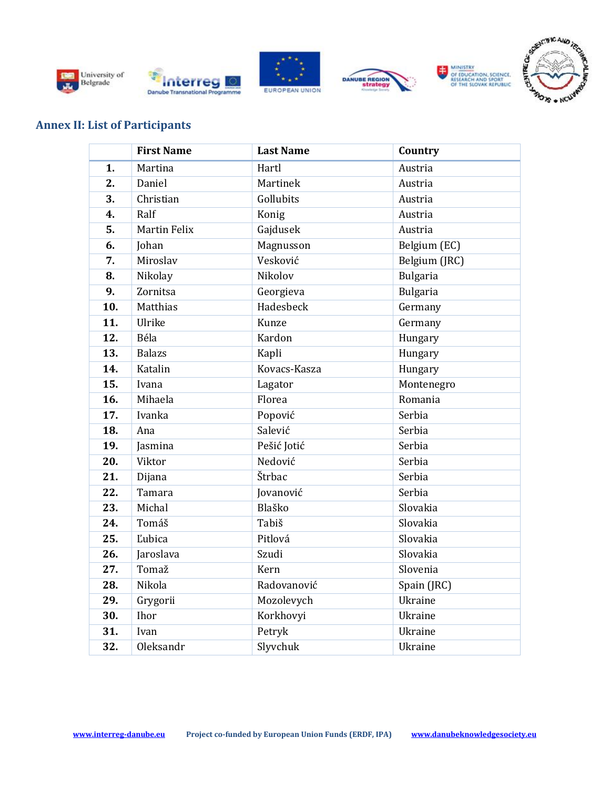











## **Annex II: List of Participants**

|     | <b>First Name</b>   | <b>Last Name</b> | Country         |
|-----|---------------------|------------------|-----------------|
| 1.  | Martina             | Hartl            | Austria         |
| 2.  | Daniel              | Martinek         | Austria         |
| 3.  | Christian           | Gollubits        | Austria         |
| 4.  | Ralf                | Konig            | Austria         |
| 5.  | <b>Martin Felix</b> | Gajdusek         | Austria         |
| 6.  | Johan               | Magnusson        | Belgium (EC)    |
| 7.  | Miroslav            | Vesković         | Belgium (JRC)   |
| 8.  | Nikolay             | Nikolov          | <b>Bulgaria</b> |
| 9.  | Zornitsa            | Georgieva        | Bulgaria        |
| 10. | Matthias            | Hadesbeck        | Germany         |
| 11. | Ulrike              | Kunze            | Germany         |
| 12. | Béla                | Kardon           | Hungary         |
| 13. | <b>Balazs</b>       | Kapli            | Hungary         |
| 14. | Katalin             | Kovacs-Kasza     | Hungary         |
| 15. | Ivana               | Lagator          | Montenegro      |
| 16. | Mihaela             | Florea           | Romania         |
| 17. | Ivanka              | Popović          | Serbia          |
| 18. | Ana                 | Salević          | Serbia          |
| 19. | Jasmina             | Pešić Jotić      | Serbia          |
| 20. | Viktor              | Nedović          | Serbia          |
| 21. | Dijana              | Štrbac           | Serbia          |
| 22. | Tamara              | Jovanović        | Serbia          |
| 23. | Michal              | Blaško           | Slovakia        |
| 24. | Tomáš               | Tabiš            | Slovakia        |
| 25. | Ľubica              | Pitlová          | Slovakia        |
| 26. | Jaroslava           | Szudi            | Slovakia        |
| 27. | Tomaž               | Kern             | Slovenia        |
| 28. | Nikola              | Radovanović      | Spain (JRC)     |
| 29. | Grygorii            | Mozolevych       | Ukraine         |
| 30. | Ihor                | Korkhovyi        | Ukraine         |
| 31. | Ivan                | Petryk           | Ukraine         |
| 32. | Oleksandr           | Slyvchuk         | Ukraine         |